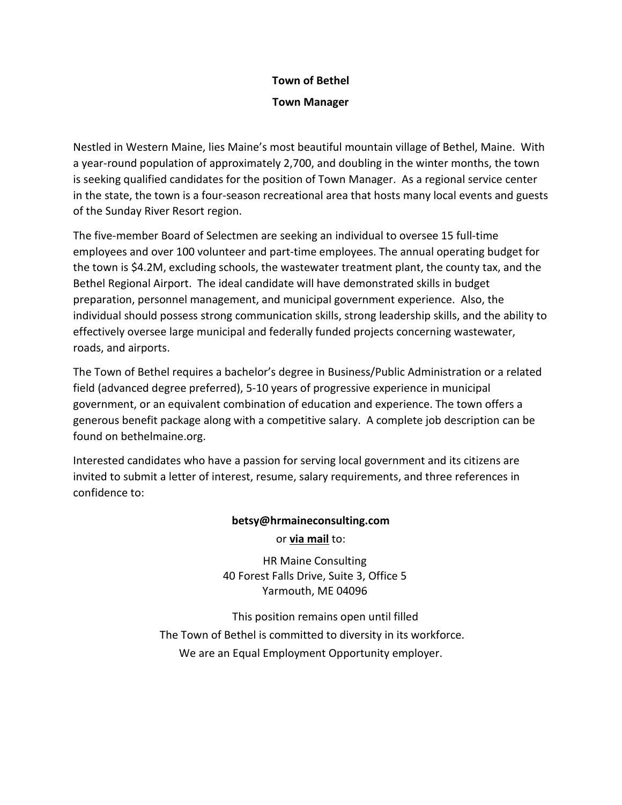# **Town of Bethel**

## **Town Manager**

Nestled in Western Maine, lies Maine's most beautiful mountain village of Bethel, Maine. With a year-round population of approximately 2,700, and doubling in the winter months, the town is seeking qualified candidates for the position of Town Manager. As a regional service center in the state, the town is a four-season recreational area that hosts many local events and guests of the Sunday River Resort region.

The five-member Board of Selectmen are seeking an individual to oversee 15 full-time employees and over 100 volunteer and part-time employees. The annual operating budget for the town is \$4.2M, excluding schools, the wastewater treatment plant, the county tax, and the Bethel Regional Airport. The ideal candidate will have demonstrated skills in budget preparation, personnel management, and municipal government experience. Also, the individual should possess strong communication skills, strong leadership skills, and the ability to effectively oversee large municipal and federally funded projects concerning wastewater, roads, and airports.

The Town of Bethel requires a bachelor's degree in Business/Public Administration or a related field (advanced degree preferred), 5-10 years of progressive experience in municipal government, or an equivalent combination of education and experience. The town offers a generous benefit package along with a competitive salary. A complete job description can be found on bethelmaine.org.

Interested candidates who have a passion for serving local government and its citizens are invited to submit a letter of interest, resume, salary requirements, and three references in confidence to:

# **betsy@hrmaineconsulting.com** or **via mail** to:

HR Maine Consulting 40 Forest Falls Drive, Suite 3, Office 5 Yarmouth, ME 04096

This position remains open until filled The Town of Bethel is committed to diversity in its workforce. We are an Equal Employment Opportunity employer.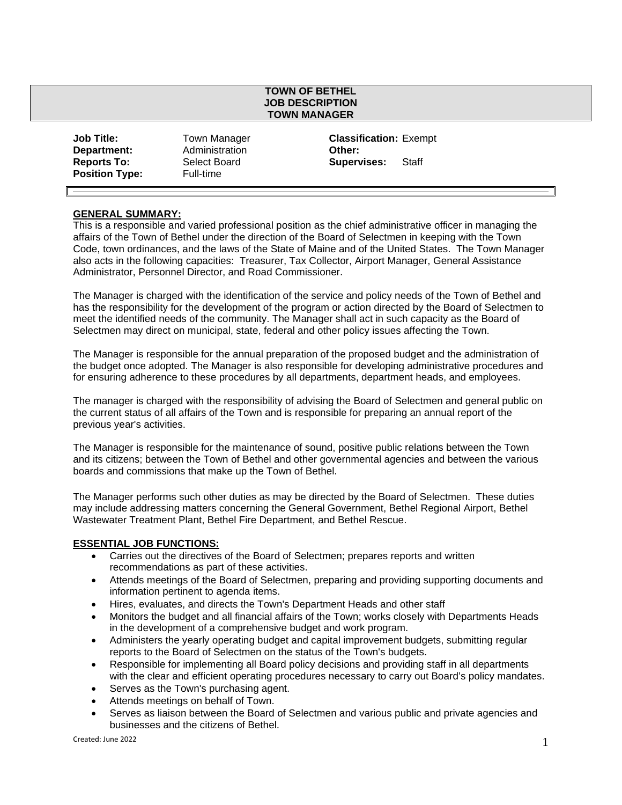#### **TOWN OF BETHEL JOB DESCRIPTION TOWN MANAGER**

| <b>Job Title:</b>     | Town Manager   | Classi       |
|-----------------------|----------------|--------------|
| Department:           | Administration | Other:       |
| <b>Reports To:</b>    | Select Board   | <b>Super</b> |
| <b>Position Type:</b> | Full-time      |              |

**Classification: Exempt Supervises:** Staff

#### **GENERAL SUMMARY:**

This is a responsible and varied professional position as the chief administrative officer in managing the affairs of the Town of Bethel under the direction of the Board of Selectmen in keeping with the Town Code, town ordinances, and the laws of the State of Maine and of the United States. The Town Manager also acts in the following capacities: Treasurer, Tax Collector, Airport Manager, General Assistance Administrator, Personnel Director, and Road Commissioner.

The Manager is charged with the identification of the service and policy needs of the Town of Bethel and has the responsibility for the development of the program or action directed by the Board of Selectmen to meet the identified needs of the community. The Manager shall act in such capacity as the Board of Selectmen may direct on municipal, state, federal and other policy issues affecting the Town.

The Manager is responsible for the annual preparation of the proposed budget and the administration of the budget once adopted. The Manager is also responsible for developing administrative procedures and for ensuring adherence to these procedures by all departments, department heads, and employees.

The manager is charged with the responsibility of advising the Board of Selectmen and general public on the current status of all affairs of the Town and is responsible for preparing an annual report of the previous year's activities.

The Manager is responsible for the maintenance of sound, positive public relations between the Town and its citizens; between the Town of Bethel and other governmental agencies and between the various boards and commissions that make up the Town of Bethel.

The Manager performs such other duties as may be directed by the Board of Selectmen. These duties may include addressing matters concerning the General Government, Bethel Regional Airport, Bethel Wastewater Treatment Plant, Bethel Fire Department, and Bethel Rescue.

#### **ESSENTIAL JOB FUNCTIONS:**

- Carries out the directives of the Board of Selectmen; prepares reports and written recommendations as part of these activities.
- Attends meetings of the Board of Selectmen, preparing and providing supporting documents and information pertinent to agenda items.
- Hires, evaluates, and directs the Town's Department Heads and other staff
- Monitors the budget and all financial affairs of the Town; works closely with Departments Heads in the development of a comprehensive budget and work program.
- Administers the yearly operating budget and capital improvement budgets, submitting regular reports to the Board of Selectmen on the status of the Town's budgets.
- Responsible for implementing all Board policy decisions and providing staff in all departments with the clear and efficient operating procedures necessary to carry out Board's policy mandates.
- Serves as the Town's purchasing agent.
- Attends meetings on behalf of Town.
- Serves as liaison between the Board of Selectmen and various public and private agencies and businesses and the citizens of Bethel.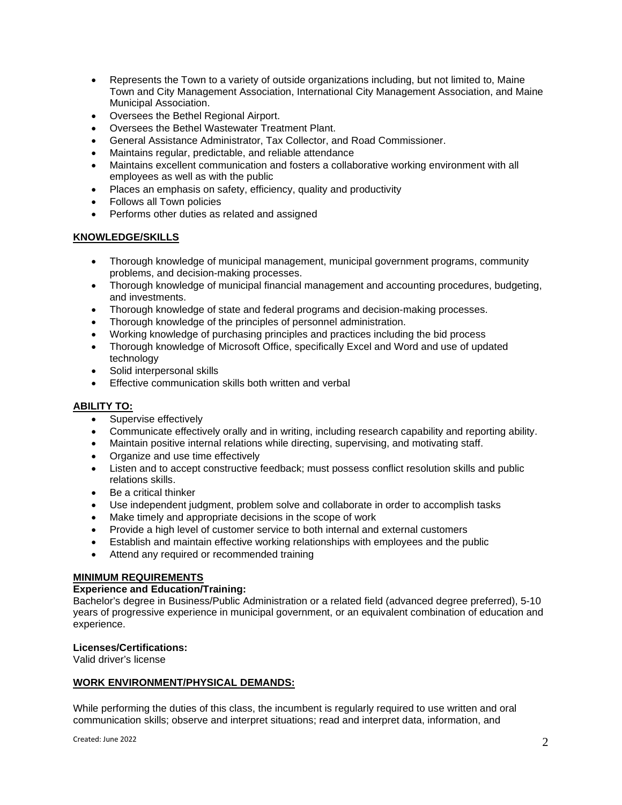- Represents the Town to a variety of outside organizations including, but not limited to, Maine Town and City Management Association, International City Management Association, and Maine Municipal Association.
- Oversees the Bethel Regional Airport.
- Oversees the Bethel Wastewater Treatment Plant.
- General Assistance Administrator, Tax Collector, and Road Commissioner.
- Maintains regular, predictable, and reliable attendance
- Maintains excellent communication and fosters a collaborative working environment with all employees as well as with the public
- Places an emphasis on safety, efficiency, quality and productivity
- Follows all Town policies
- Performs other duties as related and assigned

### **KNOWLEDGE/SKILLS**

- Thorough knowledge of municipal management, municipal government programs, community problems, and decision-making processes.
- Thorough knowledge of municipal financial management and accounting procedures, budgeting, and investments.
- Thorough knowledge of state and federal programs and decision-making processes.
- Thorough knowledge of the principles of personnel administration.
- Working knowledge of purchasing principles and practices including the bid process
- Thorough knowledge of Microsoft Office, specifically Excel and Word and use of updated technology
- Solid interpersonal skills
- **Effective communication skills both written and verbal**

#### **ABILITY TO:**

- Supervise effectively
- Communicate effectively orally and in writing, including research capability and reporting ability.
- Maintain positive internal relations while directing, supervising, and motivating staff.
- Organize and use time effectively
- Listen and to accept constructive feedback; must possess conflict resolution skills and public relations skills.
- Be a critical thinker
- Use independent judgment, problem solve and collaborate in order to accomplish tasks
- Make timely and appropriate decisions in the scope of work
- Provide a high level of customer service to both internal and external customers
- Establish and maintain effective working relationships with employees and the public
- Attend any required or recommended training

#### **MINIMUM REQUIREMENTS**

## **Experience and Education/Training:**

Bachelor's degree in Business/Public Administration or a related field (advanced degree preferred), 5-10 years of progressive experience in municipal government, or an equivalent combination of education and experience.

#### **Licenses/Certifications:**

Valid driver's license

#### **WORK ENVIRONMENT/PHYSICAL DEMANDS:**

While performing the duties of this class, the incumbent is regularly required to use written and oral communication skills; observe and interpret situations; read and interpret data, information, and